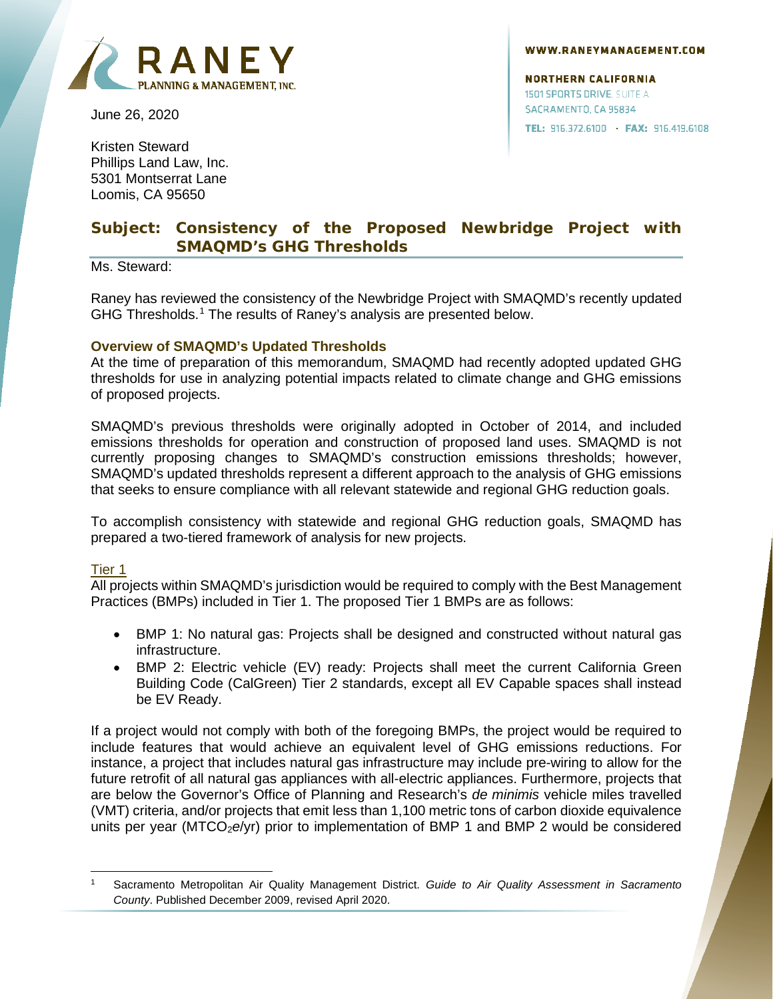



June 26, 2020

Kristen Steward Phillips Land Law, Inc. 5301 Montserrat Lane Loomis, CA 95650

#### **NORTHERN CALIFORNIA 1501 SPORTS DRIVE, SUITE A** SACRAMENTO, CA 95834 TEL: 916.372.6100 · FAX: 916.419.6108

# **Subject: Consistency of the Proposed Newbridge Project with SMAQMD's GHG Thresholds**

Ms. Steward:

Raney has reviewed the consistency of the Newbridge Project with SMAQMD's recently updated GHG Thresholds.<sup>[1](#page-0-0)</sup> The results of Raney's analysis are presented below.

### **Overview of SMAQMD's Updated Thresholds**

At the time of preparation of this memorandum, SMAQMD had recently adopted updated GHG thresholds for use in analyzing potential impacts related to climate change and GHG emissions of proposed projects.

SMAQMD's previous thresholds were originally adopted in October of 2014, and included emissions thresholds for operation and construction of proposed land uses. SMAQMD is not currently proposing changes to SMAQMD's construction emissions thresholds; however, SMAQMD's updated thresholds represent a different approach to the analysis of GHG emissions that seeks to ensure compliance with all relevant statewide and regional GHG reduction goals.

To accomplish consistency with statewide and regional GHG reduction goals, SMAQMD has prepared a two-tiered framework of analysis for new projects.

### Tier 1

All projects within SMAQMD's jurisdiction would be required to comply with the Best Management Practices (BMPs) included in Tier 1. The proposed Tier 1 BMPs are as follows:

- BMP 1: No natural gas: Projects shall be designed and constructed without natural gas infrastructure.
- BMP 2: Electric vehicle (EV) ready: Projects shall meet the current California Green Building Code (CalGreen) Tier 2 standards, except all EV Capable spaces shall instead be EV Ready.

If a project would not comply with both of the foregoing BMPs, the project would be required to include features that would achieve an equivalent level of GHG emissions reductions. For instance, a project that includes natural gas infrastructure may include pre-wiring to allow for the future retrofit of all natural gas appliances with all-electric appliances. Furthermore, projects that are below the Governor's Office of Planning and Research's *de minimis* vehicle miles travelled (VMT) criteria, and/or projects that emit less than 1,100 metric tons of carbon dioxide equivalence units per year (MTCO<sub>2</sub>e/yr) prior to implementation of BMP 1 and BMP 2 would be considered

<span id="page-0-0"></span><sup>1</sup> Sacramento Metropolitan Air Quality Management District. *Guide to Air Quality Assessment in Sacramento County*. Published December 2009, revised April 2020.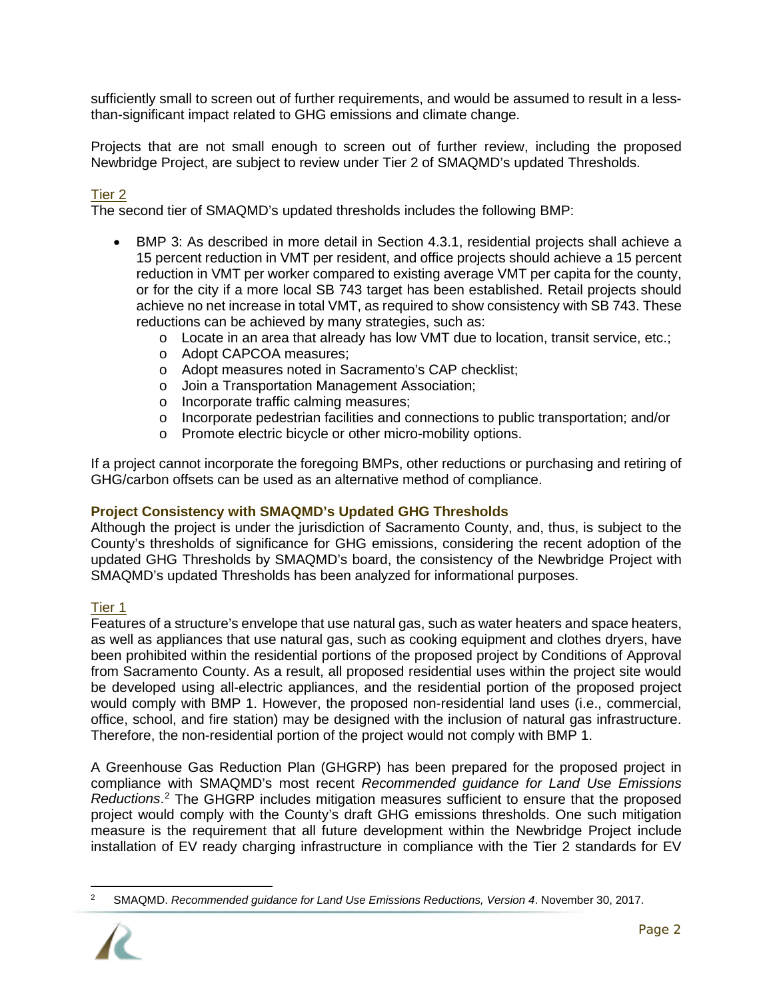sufficiently small to screen out of further requirements, and would be assumed to result in a lessthan-significant impact related to GHG emissions and climate change.

Projects that are not small enough to screen out of further review, including the proposed Newbridge Project, are subject to review under Tier 2 of SMAQMD's updated Thresholds.

## Tier 2

The second tier of SMAQMD's updated thresholds includes the following BMP:

- BMP 3: As described in more detail in Section 4.3.1, residential projects shall achieve a 15 percent reduction in VMT per resident, and office projects should achieve a 15 percent reduction in VMT per worker compared to existing average VMT per capita for the county, or for the city if a more local SB 743 target has been established. Retail projects should achieve no net increase in total VMT, as required to show consistency with SB 743. These reductions can be achieved by many strategies, such as:
	- o Locate in an area that already has low VMT due to location, transit service, etc.;
	- o Adopt CAPCOA measures;
	- o Adopt measures noted in Sacramento's CAP checklist;
	- o Join a Transportation Management Association;
	- o Incorporate traffic calming measures;
	- o Incorporate pedestrian facilities and connections to public transportation; and/or
	- o Promote electric bicycle or other micro-mobility options.

If a project cannot incorporate the foregoing BMPs, other reductions or purchasing and retiring of GHG/carbon offsets can be used as an alternative method of compliance.

### **Project Consistency with SMAQMD's Updated GHG Thresholds**

Although the project is under the jurisdiction of Sacramento County, and, thus, is subject to the County's thresholds of significance for GHG emissions, considering the recent adoption of the updated GHG Thresholds by SMAQMD's board, the consistency of the Newbridge Project with SMAQMD's updated Thresholds has been analyzed for informational purposes.

### Tier 1

Features of a structure's envelope that use natural gas, such as water heaters and space heaters, as well as appliances that use natural gas, such as cooking equipment and clothes dryers, have been prohibited within the residential portions of the proposed project by Conditions of Approval from Sacramento County. As a result, all proposed residential uses within the project site would be developed using all-electric appliances, and the residential portion of the proposed project would comply with BMP 1. However, the proposed non-residential land uses (i.e., commercial, office, school, and fire station) may be designed with the inclusion of natural gas infrastructure. Therefore, the non-residential portion of the project would not comply with BMP 1.

A Greenhouse Gas Reduction Plan (GHGRP) has been prepared for the proposed project in compliance with SMAQMD's most recent *Recommended guidance for Land Use Emissions Reductions*. [2](#page-1-0) The GHGRP includes mitigation measures sufficient to ensure that the proposed project would comply with the County's draft GHG emissions thresholds. One such mitigation measure is the requirement that all future development within the Newbridge Project include installation of EV ready charging infrastructure in compliance with the Tier 2 standards for EV

<span id="page-1-0"></span><sup>2</sup> SMAQMD. *Recommended guidance for Land Use Emissions Reductions, Version 4*. November 30, 2017.